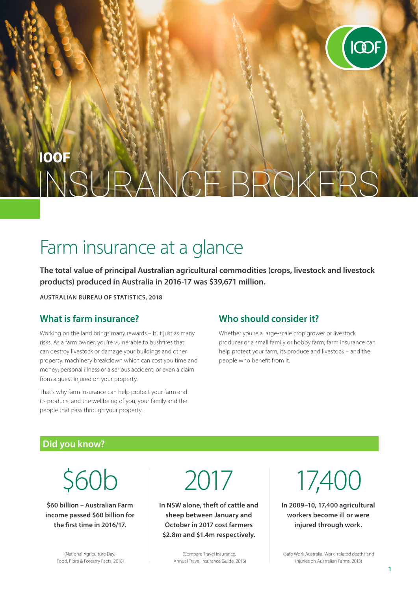

# **IOOF** CEBROKE

# Farm insurance at a glance

**The total value of principal Australian agricultural commodities (crops, livestock and livestock products) produced in Australia in 2016-17 was \$39,671 million.**

**AUSTRALIAN BUREAU OF STATISTICS, 2018**

### **What is farm insurance?**

Working on the land brings many rewards – but just as many risks. As a farm owner, you're vulnerable to bushfires that can destroy livestock or damage your buildings and other property; machinery breakdown which can cost you time and money; personal illness or a serious accident; or even a claim from a guest injured on your property.

That's why farm insurance can help protect your farm and its produce, and the wellbeing of you, your family and the people that pass through your property.

#### **Who should consider it?**

Whether you're a large-scale crop grower or livestock producer or a small family or hobby farm, farm insurance can help protect your farm, its produce and livestock – and the people who benefit from it.

#### **Did you know?**

\$60b

**\$60 billion – Australian Farm income passed \$60 billion for the first time in 2016/17.**

2017

**In NSW alone, theft of cattle and sheep between January and October in 2017 cost farmers \$2.8m and \$1.4m respectively.**

> (Compare Travel Insurance, Annual Travel Insurance Guide, 2016)

17,400

**In 2009–10, 17,400 agricultural workers become ill or were injured through work.**

(Safe Work Australia, Work- related deaths and injuries on Australian Farms, 2013)

(National Agriculture Day, Food, Fibre & Forestry Facts, 2018)